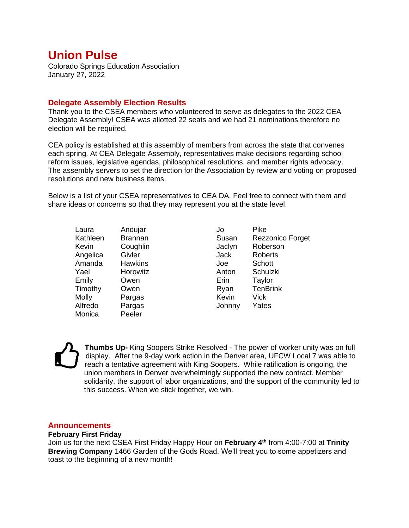# **Union Pulse**

Colorado Springs Education Association January 27, 2022

## **Delegate Assembly Election Results**

Thank you to the CSEA members who volunteered to serve as delegates to the 2022 CEA Delegate Assembly! CSEA was allotted 22 seats and we had 21 nominations therefore no election will be required.

CEA policy is established at this assembly of members from across the state that convenes each spring. At CEA Delegate Assembly, representatives make decisions regarding school reform issues, legislative agendas, philosophical resolutions, and member rights advocacy. The assembly servers to set the direction for the Association by review and voting on proposed resolutions and new business items.

Below is a list of your CSEA representatives to CEA DA. Feel free to connect with them and share ideas or concerns so that they may represent you at the state level.

Laura Andujar Kathleen Brannan Kevin Coughlin Angelica Givler Amanda Hawkins Yael Horowitz Emily Owen Timothy Owen Molly Pargas Alfredo Pargas Monica Peeler

Jo Pike Susan Rezzonico Forget Jaclyn Roberson Jack Roberts Joe Schott Anton Schulzki Erin Taylor Ryan TenBrink Kevin Vick Johnny Yates

**Thumbs Up-** King Soopers Strike Resolved - The power of worker unity was on full display. After the 9-day work action in the Denver area, UFCW Local 7 was able to reach a tentative agreement with King Soopers. While ratification is ongoing, the union members in Denver overwhelmingly supported the new contract. Member solidarity, the support of labor organizations, and the support of the community led to this success. When we stick together, we win.

## **Announcements**

#### **February First Friday**

Join us for the next CSEA First Friday Happy Hour on **February 4th** from 4:00-7:00 at **Trinity Brewing Company** 1466 Garden of the Gods Road. We'll treat you to some appetizers and toast to the beginning of a new month!